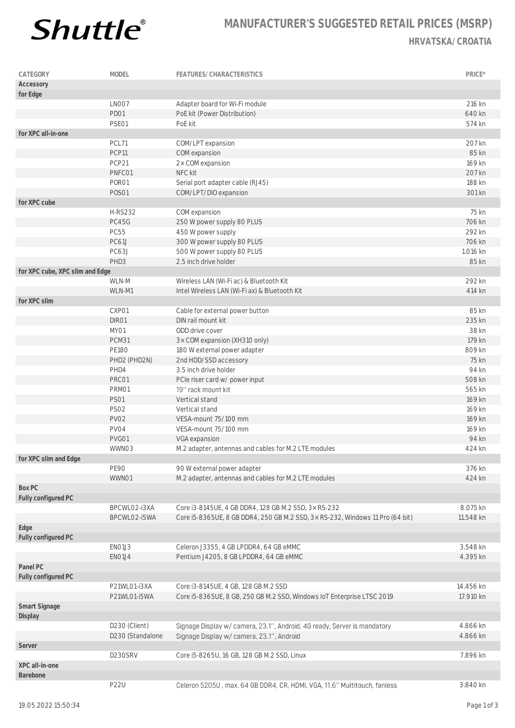

## **MANUFACTURER'S SUGGESTED RETAIL PRICES (MSRP) HRVATSKA/CROATIA**

| CATEGORY                        | MODEL            | FEATURES/CHARACTERISTICS                                                      | PRICE*    |
|---------------------------------|------------------|-------------------------------------------------------------------------------|-----------|
| Accessory                       |                  |                                                                               |           |
| for Edge                        |                  |                                                                               |           |
|                                 | LNO07            | Adapter board for Wi-Fi module                                                | 216 kn    |
|                                 | PD01             | PoE kit (Power Distribution)                                                  | 640 kn    |
|                                 | PSE01            | PoE kit                                                                       | 574 kn    |
| for XPC all-in-one              |                  |                                                                               |           |
|                                 | PCL71            | COM/LPT expansion                                                             | 207 kn    |
|                                 | PCP11            | COM expansion                                                                 | 85 kn     |
|                                 | PCP21            | 2x COM expansion                                                              | 169 kn    |
|                                 | PNFC01           | NFC kit                                                                       | 207 kn    |
|                                 | PORO1            | Serial port adapter cable (RJ45)                                              | 188 kn    |
|                                 | <b>POSO1</b>     | COM/LPT/DIO expansion                                                         | 301 kn    |
| for XPC cube                    |                  |                                                                               |           |
|                                 | <b>H-RS232</b>   | COM expansion                                                                 | 75 kn     |
|                                 | PC45G            | 250 W power supply 80 PLUS                                                    | 706 kn    |
|                                 | <b>PC55</b>      | 450 W power supply                                                            | 292 kn    |
|                                 | PC61J            | 300 W power supply 80 PLUS                                                    | 706 kn    |
|                                 | PC63J            | 500 W power supply 80 PLUS                                                    | 1.016 kn  |
|                                 | PHD3             | 2.5 inch drive holder                                                         | 85 kn     |
| for XPC cube, XPC slim and Edge |                  |                                                                               |           |
|                                 | WLN-M            | Wireless LAN (Wi-Fi ac) & Bluetooth Kit                                       | 292 kn    |
|                                 | WLN-M1           | Intel Wireless LAN (Wi-Fi ax) & Bluetooth Kit                                 | 414 kn    |
| for XPC slim                    |                  |                                                                               |           |
|                                 | CXP01            | Cable for external power button                                               | 85 kn     |
|                                 | DIR01            | DIN rail mount kit                                                            | 235 kn    |
|                                 | MY01             | ODD drive cover                                                               | 38 kn     |
|                                 | PCM31            | 3x COM expansion (XH310 only)                                                 | 179 kn    |
|                                 | <b>PE180</b>     | 180 W external power adapter                                                  | 809 kn    |
|                                 | PHD2 (PHD2N)     | 2nd HDD/SSD accessory                                                         | 75 kn     |
|                                 | PHD4             | 3.5 inch drive holder                                                         | 94 kn     |
|                                 | PRC01            | PCIe riser card w/ power input                                                | 508 kn    |
|                                 | PRM01            | 19" rack mount kit                                                            | 565 kn    |
|                                 | <b>PS01</b>      | Vertical stand                                                                | 169 kn    |
|                                 | <b>PS02</b>      | Vertical stand                                                                | 169 kn    |
|                                 | <b>PV02</b>      | VESA-mount 75/100 mm                                                          | 169 kn    |
|                                 | PV04             | VESA-mount 75/100 mm                                                          | 169 kn    |
|                                 | PVG01            | VGA expansion                                                                 | 94 kn     |
|                                 | WWN03            | M.2 adapter, antennas and cables for M.2 LTE modules                          | 424 kn    |
| for XPC slim and Edge           |                  |                                                                               |           |
|                                 | <b>PE90</b>      | 90 W external power adapter                                                   | 376 kn    |
|                                 | WWN01            | M.2 adapter, antennas and cables for M.2 LTE modules                          | 424 kn    |
| Box PC                          |                  |                                                                               |           |
| Fully configured PC             |                  |                                                                               |           |
|                                 | BPCWLO2-i3XA     | Core i3-8145UE, 4 GB DDR4, 128 GB M.2 SSD, 3x RS-232                          | 8.075 kn  |
|                                 | BPCWLO2-i5WA     | Core i5-8365UE, 8 GB DDR4, 250 GB M.2 SSD, 3x RS-232, Windows 11 Pro (64 bit) | 11.548 kn |
| Edge                            |                  |                                                                               |           |
| Fully configured PC             |                  |                                                                               |           |
|                                 | EN01J3           | Celeron J3355, 4 GB LPDDR4, 64 GB eMMC                                        | 3.548 kn  |
|                                 | EN01J4           | Pentium J4205, 8 GB LPDDR4, 64 GB eMMC                                        | 4.395 kn  |
| Panel PC                        |                  |                                                                               |           |
| Fully configured PC             |                  |                                                                               |           |
|                                 | P21WL01-i3XA     | Core i3-8145UE, 4 GB, 128 GB M.2 SSD                                          | 14.456 kn |
|                                 | P21WL01-i5WA     | Core i5-8365UE, 8 GB, 250 GB M.2 SSD, Windows IoT Enterprise LTSC 2019        | 17.910 kn |
| Smart Signage<br>Display        |                  |                                                                               |           |
|                                 | D230 (Client)    | Signage Display w/ camera, 23.1", Android, 4G ready, Server is mandatory      | 4.866 kn  |
|                                 | D230 (Standalone | Signage Display w/ camera, 23.1", Android                                     | 4.866 kn  |
| Server                          |                  |                                                                               |           |
|                                 | D230SRV          | Core i5-8265U, 16 GB, 128 GB M.2 SSD, Linux                                   | 7.896 kn  |
| XPC all-in-one                  |                  |                                                                               |           |
| Barebone                        |                  |                                                                               |           |
|                                 | <b>P22U</b>      | Celeron 5205U, max. 64 GB DDR4, CR, HDMI, VGA, 11.6" Multitouch, fanless      | 3.840 kn  |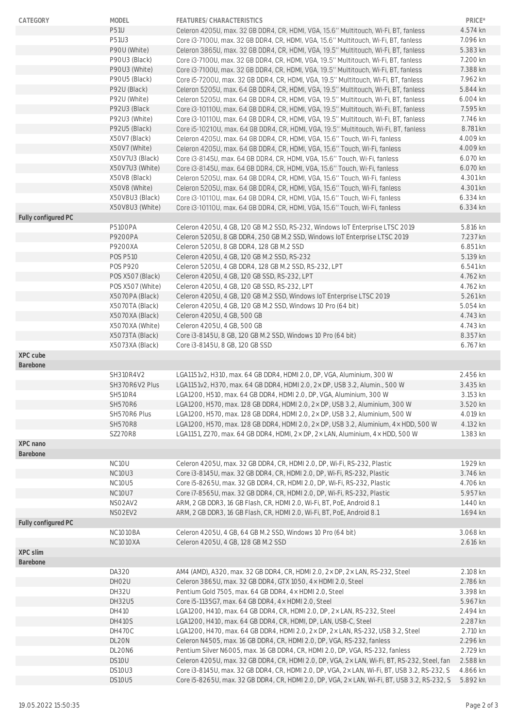| CATEGORY            | MODEL              | FEATURES/CHARACTERISTICS                                                                                                                                                                     | PRICE*               |
|---------------------|--------------------|----------------------------------------------------------------------------------------------------------------------------------------------------------------------------------------------|----------------------|
|                     | <b>P51U</b>        | Celeron 4205U, max. 32 GB DDR4, CR, HDMI, VGA, 15.6" Multitouch, Wi-Fi, BT, fanless                                                                                                          | 4.574 kn             |
|                     | P51U3              | Core i3-7100U, max. 32 GB DDR4, CR, HDMI, VGA, 15.6" Multitouch, Wi-Fi, BT, fanless                                                                                                          | 7.096 kn             |
|                     | P90U (White)       | Celeron 3865U, max. 32 GB DDR4, CR, HDMI, VGA, 19.5" Multitouch, Wi-Fi, BT, fanless                                                                                                          | 5.383 kn             |
|                     | P90U3 (Black)      | Core i3-7100U, max. 32 GB DDR4, CR, HDMI, VGA, 19.5" Multitouch, Wi-Fi, BT, fanless                                                                                                          | 7.200 kn             |
|                     | P90U3 (White)      | Core i3-7100U, max. 32 GB DDR4, CR, HDMI, VGA, 19.5" Multitouch, Wi-Fi, BT, fanless                                                                                                          | 7.388 kn             |
|                     | P90U5 (Black)      | Core i5-7200U, max. 32 GB DDR4, CR, HDMI, VGA, 19.5" Multitouch, Wi-Fi, BT, fanless                                                                                                          | 7.962 kn             |
|                     | P92U (Black)       | Celeron 5205U, max. 64 GB DDR4, CR, HDMI, VGA, 19.5" Multitouch, Wi-Fi, BT, fanless                                                                                                          | 5.844 kn             |
|                     | P92U (White)       | Celeron 5205U, max. 64 GB DDR4, CR, HDMI, VGA, 19.5" Multitouch, Wi-Fi, BT, fanless                                                                                                          | 6.004 kn             |
|                     | P92U3 (Black       | Core i3-10110U, max. 64 GB DDR4, CR, HDMI, VGA, 19.5" Multitouch, Wi-Fi, BT, fanless                                                                                                         | 7.595 kn             |
|                     | P92U3 (White)      | Core i3-10110U, max. 64 GB DDR4, CR, HDMI, VGA, 19.5" Multitouch, Wi-Fi, BT, fanless                                                                                                         | 7.746 kn             |
|                     | P92U5 (Black)      | Core i5-10210U, max. 64 GB DDR4, CR, HDMI, VGA, 19.5" Multitouch, Wi-Fi, BT, fanless                                                                                                         | 8.781 kn             |
|                     | X50V7 (Black)      | Celeron 4205U, max. 64 GB DDR4, CR, HDMI, VGA, 15.6" Touch, Wi-Fi, fanless                                                                                                                   | 4.009 kn             |
|                     | X50V7 (White)      | Celeron 4205U, max. 64 GB DDR4, CR, HDMI, VGA, 15.6" Touch, Wi-Fi, fanless                                                                                                                   | 4.009 kn             |
|                     | X50V7U3 (Black)    | Core i3-8145U, max. 64 GB DDR4, CR, HDMI, VGA, 15.6" Touch, Wi-Fi, fanless                                                                                                                   | 6.070 kn             |
|                     | X50V7U3 (White)    | Core i3-8145U, max. 64 GB DDR4, CR, HDMI, VGA, 15.6" Touch, Wi-Fi, fanless                                                                                                                   | 6.070 kn             |
|                     | X50V8 (Black)      | Celeron 5205U, max. 64 GB DDR4, CR, HDMI, VGA, 15.6" Touch, Wi-Fi, fanless                                                                                                                   | 4.301 kn             |
|                     | X50V8 (White)      | Celeron 5205U, max. 64 GB DDR4, CR, HDMI, VGA, 15.6" Touch, Wi-Fi, fanless                                                                                                                   | 4.301 kn             |
|                     | X50V8U3 (Black)    | Core i3-10110U, max. 64 GB DDR4, CR, HDMI, VGA, 15.6" Touch, Wi-Fi, fanless                                                                                                                  | 6.334 kn             |
|                     | X50V8U3 (White)    | Core i3-10110U, max. 64 GB DDR4, CR, HDMI, VGA, 15.6" Touch, Wi-Fi, fanless                                                                                                                  | 6.334 kn             |
| Fully configured PC |                    |                                                                                                                                                                                              |                      |
|                     | <b>P5100PA</b>     | Celeron 4205U, 4 GB, 120 GB M.2 SSD, RS-232, Windows IoT Enterprise LTSC 2019                                                                                                                | 5.816 kn             |
|                     | <b>P9200PA</b>     | Celeron 5205U, 8 GB DDR4, 250 GB M.2 SSD, Windows IoT Enterprise LTSC 2019                                                                                                                   | 7.237 kn             |
|                     | P9200XA            | Celeron 5205U, 8 GB DDR4, 128 GB M.2 SSD                                                                                                                                                     | 6.851 kn             |
|                     | <b>POS P510</b>    | Celeron 4205U, 4 GB, 120 GB M.2 SSD, RS-232                                                                                                                                                  | 5.139 kn             |
|                     | <b>POS P920</b>    | Celeron 5205U, 4 GB DDR4, 128 GB M.2 SSD, RS-232, LPT                                                                                                                                        | 6.541 kn             |
|                     | POS X507 (Black)   | Celeron 4205U, 4 GB, 120 GB SSD, RS-232, LPT                                                                                                                                                 | 4.762 kn             |
|                     | POS X507 (White)   | Celeron 4205U, 4 GB, 120 GB SSD, RS-232, LPT                                                                                                                                                 | 4.762 kn             |
|                     | X5070PA (Black)    | Celeron 4205U, 4 GB, 120 GB M.2 SSD, Windows IoT Enterprise LTSC 2019                                                                                                                        | 5.261 kn             |
|                     | X5070TA (Black)    | Celeron 4205U, 4 GB, 120 GB M.2 SSD, Windows 10 Pro (64 bit)                                                                                                                                 | 5.054 kn             |
|                     | X5070XA (Black)    | Celeron 4205U, 4 GB, 500 GB                                                                                                                                                                  | 4.743 kn             |
|                     | X5070XA (White)    | Celeron 4205U, 4 GB, 500 GB                                                                                                                                                                  | 4.743 kn             |
|                     | X5073TA (Black)    | Core i3-8145U, 8 GB, 120 GB M.2 SSD, Windows 10 Pro (64 bit)                                                                                                                                 | 8.357 kn             |
|                     | X5073XA (Black)    | Core i3-8145U, 8 GB, 120 GB SSD                                                                                                                                                              | 6.767 kn             |
| XPC cube            |                    |                                                                                                                                                                                              |                      |
| Barebone            |                    |                                                                                                                                                                                              |                      |
|                     | SH310R4V2          | LGA1151v2, H310, max. 64 GB DDR4, HDMI 2.0, DP, VGA, Aluminium, 300 W                                                                                                                        | 2.456 kn             |
|                     | SH370R6V2 Plus     | LGA1151v2, H370, max. 64 GB DDR4, HDMI 2.0, 2× DP, USB 3.2, Alumin., 500 W                                                                                                                   | 3.435 kn             |
|                     | <b>SH510R4</b>     | LGA1200, H510, max. 64 GB DDR4, HDMI 2.0, DP, VGA, Aluminium, 300 W                                                                                                                          | 3.153 kn             |
|                     | <b>SH570R6</b>     | LGA1200, H570, max. 128 GB DDR4, HDMI 2.0, 2x DP, USB 3.2, Aluminium, 300 W                                                                                                                  | 3.520 kn             |
|                     |                    |                                                                                                                                                                                              |                      |
|                     | SH570R6 Plus       | LGA1200, H570, max. 128 GB DDR4, HDMI 2.0, 2× DP, USB 3.2, Aluminium, 500 W                                                                                                                  | 4.019 kn             |
|                     |                    |                                                                                                                                                                                              |                      |
|                     | <b>SH570R8</b>     | LGA1200, H570, max. 128 GB DDR4, HDMI 2.0, 2× DP, USB 3.2, Aluminium, 4× HDD, 500 W                                                                                                          | 4.132 kn             |
|                     | <b>SZ270R8</b>     | LGA1151, Z270, max. 64 GB DDR4, HDMI, 2× DP, 2× LAN, Aluminium, 4× HDD, 500 W                                                                                                                | 1.383 kn             |
| XPC nano            |                    |                                                                                                                                                                                              |                      |
| Barebone            |                    |                                                                                                                                                                                              |                      |
|                     | NC <sub>10</sub> U | Celeron 4205U, max. 32 GB DDR4, CR, HDMI 2.0, DP, Wi-Fi, RS-232, Plastic                                                                                                                     | 1.929 kn             |
|                     | NC10U3             | Core i3-8145U, max. 32 GB DDR4, CR, HDMI 2.0, DP, Wi-Fi, RS-232, Plastic                                                                                                                     | 3.746 kn             |
|                     | <b>NC10U5</b>      | Core i5-8265U, max. 32 GB DDR4, CR, HDMI 2.0, DP, Wi-Fi, RS-232, Plastic                                                                                                                     | 4.706 kn             |
|                     | <b>NC10U7</b>      | Core i7-8565U, max. 32 GB DDR4, CR, HDMI 2.0, DP, Wi-Fi, RS-232, Plastic                                                                                                                     | 5.957 kn             |
|                     | NSO2AV2            | ARM, 2 GB DDR3, 16 GB Flash, CR, HDMI 2.0, Wi-Fi, BT, PoE, Android 8.1                                                                                                                       | 1.440 kn             |
|                     | NSO2EV2            | ARM, 2 GB DDR3, 16 GB Flash, CR, HDMI 2.0, Wi-Fi, BT, PoE, Android 8.1                                                                                                                       | 1.694 kn             |
| Fully configured PC |                    |                                                                                                                                                                                              |                      |
|                     | NC1010BA           | Celeron 4205U, 4 GB, 64 GB M.2 SSD, Windows 10 Pro (64 bit)                                                                                                                                  | 3.068 kn             |
|                     | <b>NC1010XA</b>    | Celeron 4205U, 4 GB, 128 GB M.2 SSD                                                                                                                                                          | 2.616 kn             |
| XPC slim            |                    |                                                                                                                                                                                              |                      |
| Barebone            |                    |                                                                                                                                                                                              |                      |
|                     | DA320              | AM4 (AMD), A320, max. 32 GB DDR4, CR, HDMI 2.0, 2× DP, 2× LAN, RS-232, Steel                                                                                                                 | 2.108 kn             |
|                     | DHO <sub>2U</sub>  | Celeron 3865U, max. 32 GB DDR4, GTX 1050, 4× HDMI 2.0, Steel                                                                                                                                 | 2.786 kn             |
|                     | DH32U              | Pentium Gold 7505, max. 64 GB DDR4, 4× HDMI 2.0, Steel                                                                                                                                       | 3.398 kn             |
|                     | DH32U5             | Core i5-1135G7, max. 64 GB DDR4, 4x HDMI 2.0, Steel                                                                                                                                          | 5.967 kn             |
|                     | DH410              | LGA1200, H410, max. 64 GB DDR4, CR, HDMI 2.0, DP, 2× LAN, RS-232, Steel                                                                                                                      | 2.494 kn             |
|                     | <b>DH410S</b>      | LGA1200, H410, max. 64 GB DDR4, CR, HDMI, DP, LAN, USB-C, Steel                                                                                                                              | 2.287 kn             |
|                     | DH470C             | LGA1200, H470, max. 64 GB DDR4, HDMI 2.0, 2x DP, 2x LAN, RS-232, USB 3.2, Steel                                                                                                              | 2.710 kn             |
|                     | DL20N              | Celeron N4505, max. 16 GB DDR4, CR, HDMI 2.0, DP, VGA, RS-232, fanless                                                                                                                       | 2.296 kn             |
|                     | DL20N6             | Pentium Silver N6005, max. 16 GB DDR4, CR, HDMI 2.0, DP, VGA, RS-232, fanless                                                                                                                | 2.729 kn             |
|                     | DS10U              | Celeron 4205U, max. 32 GB DDR4, CR, HDMI 2.0, DP, VGA, 2× LAN, Wi-Fi, BT, RS-232, Steel, fan                                                                                                 | 2.588 kn             |
|                     | DS10U3<br>DS10U5   | Core i3-8145U, max. 32 GB DDR4, CR, HDMI 2.0, DP, VGA, 2× LAN, Wi-Fi, BT, USB 3.2, RS-232, S<br>Core i5-8265U, max. 32 GB DDR4, CR, HDMI 2.0, DP, VGA, 2x LAN, Wi-Fi, BT, USB 3.2, RS-232, S | 4.866 kn<br>5.892 kn |